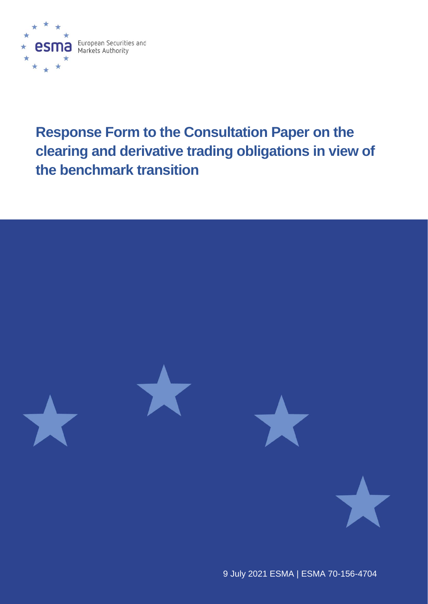

**Response Form to the Consultation Paper on the clearing and derivative trading obligations in view of the benchmark transition**



9 July 2021 ESMA | [ESMA](https://sherpa.esma.europa.eu/sites/MKT/SMK/_layouts/15/DocIdRedir.aspx?ID=ESMA70-156-1484) 70-156-4704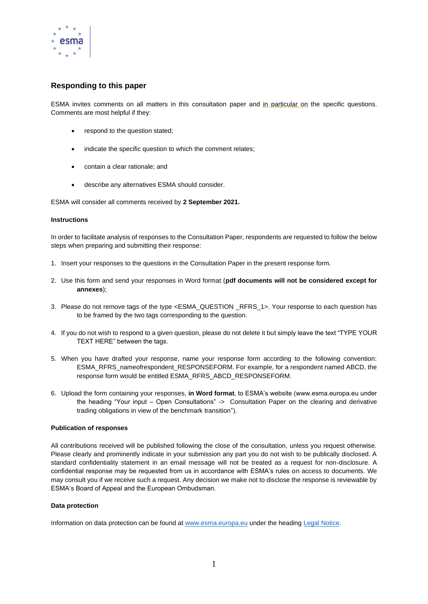

#### **Responding to this paper**

ESMA invites comments on all matters in this consultation paper and in particular on the specific questions. Comments are most helpful if they:

- respond to the question stated:
- indicate the specific question to which the comment relates;
- contain a clear rationale; and
- describe any alternatives ESMA should consider.

ESMA will consider all comments received by **2 September 2021.** 

#### **Instructions**

In order to facilitate analysis of responses to the Consultation Paper, respondents are requested to follow the below steps when preparing and submitting their response:

- 1. Insert your responses to the questions in the Consultation Paper in the present response form.
- 2. Use this form and send your responses in Word format (**pdf documents will not be considered except for annexes**);
- 3. Please do not remove tags of the type <ESMA\_QUESTION \_RFRS\_1>. Your response to each question has to be framed by the two tags corresponding to the question.
- 4. If you do not wish to respond to a given question, please do not delete it but simply leave the text "TYPE YOUR TEXT HERE" between the tags.
- 5. When you have drafted your response, name your response form according to the following convention: ESMA\_RFRS\_nameofrespondent\_RESPONSEFORM. For example, for a respondent named ABCD, the response form would be entitled ESMA\_RFRS\_ABCD\_RESPONSEFORM.
- 6. Upload the form containing your responses, **in Word format**, to ESMA's website (www.esma.europa.eu under the heading "Your input – Open Consultations" -> Consultation Paper on the clearing and derivative trading obligations in view of the benchmark transition").

#### **Publication of responses**

All contributions received will be published following the close of the consultation, unless you request otherwise. Please clearly and prominently indicate in your submission any part you do not wish to be publically disclosed. A standard confidentiality statement in an email message will not be treated as a request for non-disclosure. A confidential response may be requested from us in accordance with ESMA's rules on access to documents. We may consult you if we receive such a request. Any decision we make not to disclose the response is reviewable by ESMA's Board of Appeal and the European Ombudsman.

#### **Data protection**

Information on data protection can be found at [www.esma.europa.eu](http://www.esma.europa.eu/) under the heading [Legal Notice.](http://www.esma.europa.eu/legal-notice)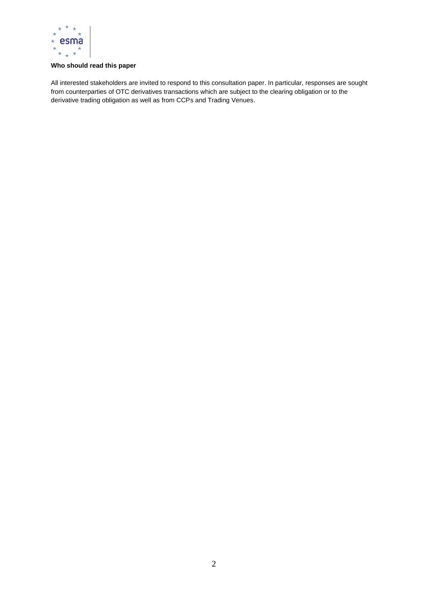

#### **Who should read this paper**

All interested stakeholders are invited to respond to this consultation paper. In particular, responses are sought from counterparties of OTC derivatives transactions which are subject to the clearing obligation or to the derivative trading obligation as well as from CCPs and Trading Venues.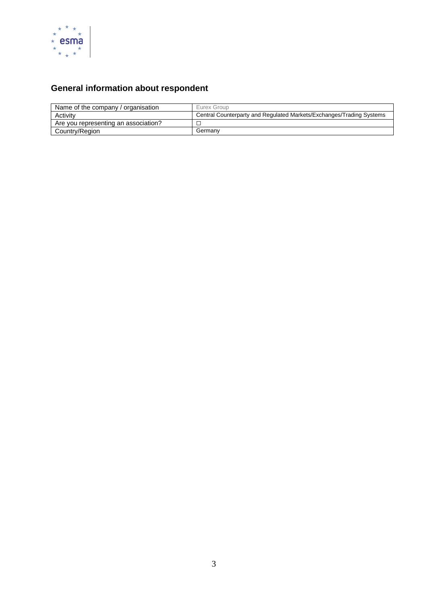

# **General information about respondent**

| Name of the company / organisation   | Eurex Group                                                          |
|--------------------------------------|----------------------------------------------------------------------|
| Activity                             | Central Counterparty and Regulated Markets/Exchanges/Trading Systems |
| Are you representing an association? |                                                                      |
| Country/Region                       | Germany                                                              |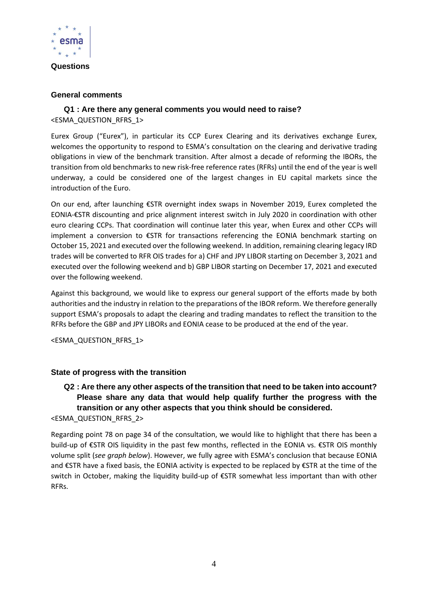

**Questions**

#### **General comments**

## **Q1 : Are there any general comments you would need to raise?** <ESMA\_QUESTION\_RFRS\_1>

Eurex Group ("Eurex"), in particular its CCP Eurex Clearing and its derivatives exchange Eurex, welcomes the opportunity to respond to ESMA's consultation on the clearing and derivative trading obligations in view of the benchmark transition. After almost a decade of reforming the IBORs, the transition from old benchmarks to new risk-free reference rates (RFRs) until the end of the year is well underway, a could be considered one of the largest changes in EU capital markets since the introduction of the Euro.

On our end, after launching €STR overnight index swaps in November 2019, Eurex completed the EONIA-€STR discounting and price alignment interest switch in July 2020 in coordination with other euro clearing CCPs. That coordination will continue later this year, when Eurex and other CCPs will implement a conversion to €STR for transactions referencing the EONIA benchmark starting on October 15, 2021 and executed over the following weekend. In addition, remaining clearing legacy IRD trades will be converted to RFR OIS trades for a) CHF and JPY LIBOR starting on December 3, 2021 and executed over the following weekend and b) GBP LIBOR starting on December 17, 2021 and executed over the following weekend.

Against this background, we would like to express our general support of the efforts made by both authorities and the industry in relation to the preparations of the IBOR reform. We therefore generally support ESMA's proposals to adapt the clearing and trading mandates to reflect the transition to the RFRs before the GBP and JPY LIBORs and EONIA cease to be produced at the end of the year.

<ESMA\_QUESTION\_RFRS\_1>

#### **State of progress with the transition**

**Q2 : Are there any other aspects of the transition that need to be taken into account? Please share any data that would help qualify further the progress with the transition or any other aspects that you think should be considered.**

<ESMA\_QUESTION\_RFRS\_2>

Regarding point 78 on page 34 of the consultation, we would like to highlight that there has been a build-up of €STR OIS liquidity in the past few months, reflected in the EONIA vs. €STR OIS monthly volume split (*see graph below*). However, we fully agree with ESMA's conclusion that because EONIA and €STR have a fixed basis, the EONIA activity is expected to be replaced by €STR at the time of the switch in October, making the liquidity build-up of €STR somewhat less important than with other RFRs.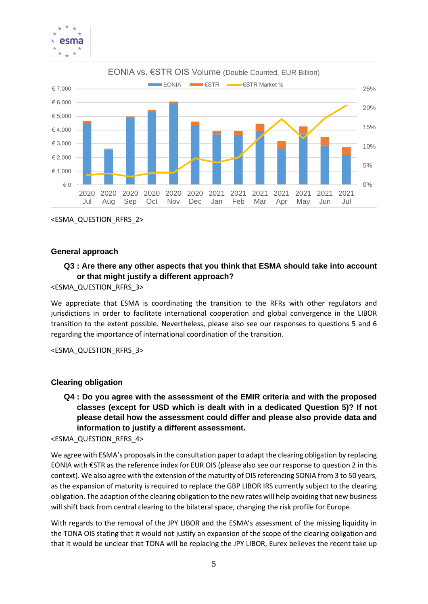



<ESMA\_QUESTION\_RFRS\_2>

#### **General approach**

## **Q3 : Are there any other aspects that you think that ESMA should take into account or that might justify a different approach?**

<ESMA\_QUESTION\_RFRS\_3>

We appreciate that ESMA is coordinating the transition to the RFRs with other regulators and jurisdictions in order to facilitate international cooperation and global convergence in the LIBOR transition to the extent possible. Nevertheless, please also see our responses to questions 5 and 6 regarding the importance of international coordination of the transition.

<ESMA\_QUESTION\_RFRS\_3>

#### **Clearing obligation**

**Q4 : Do you agree with the assessment of the EMIR criteria and with the proposed classes (except for USD which is dealt with in a dedicated Question 5)? If not please detail how the assessment could differ and please also provide data and information to justify a different assessment.** 

#### <ESMA\_QUESTION\_RFRS\_4>

We agree with ESMA's proposals in the consultation paper to adapt the clearing obligation by replacing EONIA with €STR as the reference index for EUR OIS (please also see our response to question 2 in this context). We also agree with the extension of the maturity of OIS referencing SONIA from 3 to 50 years, as the expansion of maturity is required to replace the GBP LIBOR IRS currently subject to the clearing obligation. The adaption of the clearing obligation to the new rates will help avoiding that new business will shift back from central clearing to the bilateral space, changing the risk profile for Europe.

With regards to the removal of the JPY LIBOR and the ESMA's assessment of the missing liquidity in the TONA OIS stating that it would not justify an expansion of the scope of the clearing obligation and that it would be unclear that TONA will be replacing the JPY LIBOR, Eurex believes the recent take up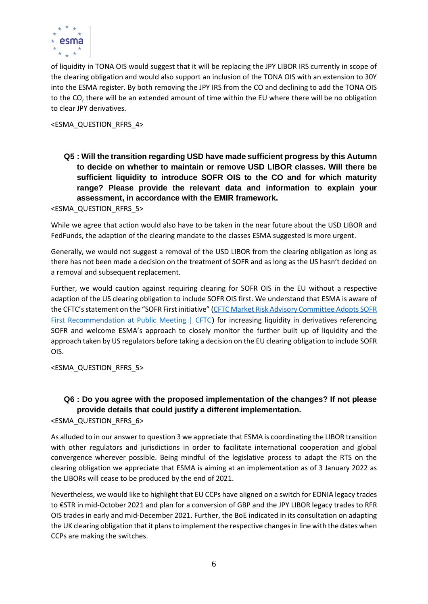

of liquidity in TONA OIS would suggest that it will be replacing the JPY LIBOR IRS currently in scope of the clearing obligation and would also support an inclusion of the TONA OIS with an extension to 30Y into the ESMA register. By both removing the JPY IRS from the CO and declining to add the TONA OIS to the CO, there will be an extended amount of time within the EU where there will be no obligation to clear JPY derivatives.

<ESMA\_QUESTION\_RFRS\_4>

**Q5 : Will the transition regarding USD have made sufficient progress by this Autumn to decide on whether to maintain or remove USD LIBOR classes. Will there be sufficient liquidity to introduce SOFR OIS to the CO and for which maturity range? Please provide the relevant data and information to explain your assessment, in accordance with the EMIR framework.** 

<ESMA\_QUESTION\_RFRS\_5>

While we agree that action would also have to be taken in the near future about the USD LIBOR and FedFunds, the adaption of the clearing mandate to the classes ESMA suggested is more urgent.

Generally, we would not suggest a removal of the USD LIBOR from the clearing obligation as long as there has not been made a decision on the treatment of SOFR and as long as the US hasn't decided on a removal and subsequent replacement.

Further, we would caution against requiring clearing for SOFR OIS in the EU without a respective adaption of the US clearing obligation to include SOFR OIS first. We understand that ESMA is aware of the CFTC's statement on the "SOFR First initiative" ([CFTC Market Risk Advisory Committee Adopts SOFR](https://www.cftc.gov/PressRoom/PressReleases/8409-21)  [First Recommendation at Public Meeting | CFTC](https://www.cftc.gov/PressRoom/PressReleases/8409-21)) for increasing liquidity in derivatives referencing SOFR and welcome ESMA's approach to closely monitor the further built up of liquidity and the approach taken by US regulators before taking a decision on the EU clearing obligation to include SOFR OIS.

<ESMA\_QUESTION\_RFRS\_5>

# **Q6 : Do you agree with the proposed implementation of the changes? If not please provide details that could justify a different implementation.**

<ESMA\_QUESTION\_RFRS\_6>

As alluded to in our answer to question 3 we appreciate that ESMA is coordinating the LIBOR transition with other regulators and jurisdictions in order to facilitate international cooperation and global convergence wherever possible. Being mindful of the legislative process to adapt the RTS on the clearing obligation we appreciate that ESMA is aiming at an implementation as of 3 January 2022 as the LIBORs will cease to be produced by the end of 2021.

Nevertheless, we would like to highlight that EU CCPs have aligned on a switch for EONIA legacy trades to €STR in mid-October 2021 and plan for a conversion of GBP and the JPY LIBOR legacy trades to RFR OIS trades in early and mid-December 2021. Further, the BoE indicated in its consultation on adapting the UK clearing obligation that it plans to implement the respective changes in line with the dates when CCPs are making the switches.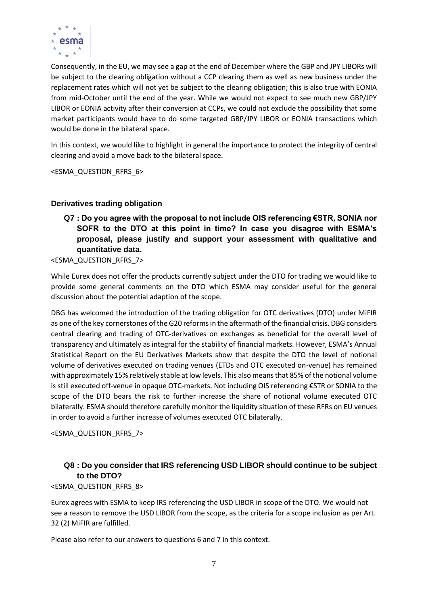

Consequently, in the EU, we may see a gap at the end of December where the GBP and JPY LIBORs will be subject to the clearing obligation without a CCP clearing them as well as new business under the replacement rates which will not yet be subject to the clearing obligation; this is also true with EONIA from mid-October until the end of the year. While we would not expect to see much new GBP/JPY LIBOR or EONIA activity after their conversion at CCPs, we could not exclude the possibility that some market participants would have to do some targeted GBP/JPY LIBOR or EONIA transactions which would be done in the bilateral space.

In this context, we would like to highlight in general the importance to protect the integrity of central clearing and avoid a move back to the bilateral space.

<ESMA\_QUESTION\_RFRS\_6>

### **Derivatives trading obligation**

**Q7 : Do you agree with the proposal to not include OIS referencing €STR, SONIA nor SOFR to the DTO at this point in time? In case you disagree with ESMA's proposal, please justify and support your assessment with qualitative and quantitative data.** 

<ESMA\_QUESTION\_RFRS\_7>

While Eurex does not offer the products currently subject under the DTO for trading we would like to provide some general comments on the DTO which ESMA may consider useful for the general discussion about the potential adaption of the scope.

DBG has welcomed the introduction of the trading obligation for OTC derivatives (DTO) under MiFIR as one of the key cornerstones of the G20 reforms in the aftermath of the financial crisis. DBG considers central clearing and trading of OTC-derivatives on exchanges as beneficial for the overall level of transparency and ultimately as integral for the stability of financial markets. However, ESMA's Annual Statistical Report on the EU Derivatives Markets show that despite the DTO the level of notional volume of derivatives executed on trading venues (ETDs and OTC executed on-venue) has remained with approximately 15% relatively stable at low levels. This also means that 85% of the notional volume is still executed off-venue in opaque OTC-markets. Not including OIS referencing €STR or SONIA to the scope of the DTO bears the risk to further increase the share of notional volume executed OTC bilaterally. ESMA should therefore carefully monitor the liquidity situation of these RFRs on EU venues in order to avoid a further increase of volumes executed OTC bilaterally.

<ESMA\_QUESTION\_RFRS\_7>

# **Q8 : Do you consider that IRS referencing USD LIBOR should continue to be subject to the DTO?**

#### <ESMA\_QUESTION\_RFRS\_8>

Eurex agrees with ESMA to keep IRS referencing the USD LIBOR in scope of the DTO. We would not see a reason to remove the USD LIBOR from the scope, as the criteria for a scope inclusion as per Art. 32 (2) MiFIR are fulfilled.

Please also refer to our answers to questions 6 and 7 in this context.